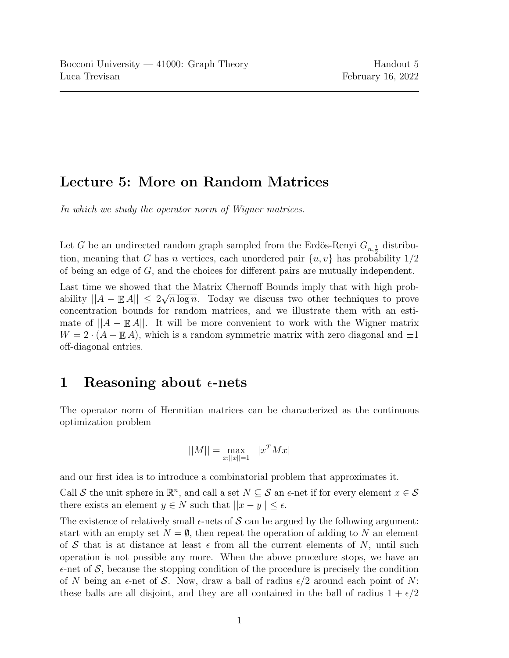## Lecture 5: More on Random Matrices

In which we study the operator norm of Wigner matrices.

Let G be an undirected random graph sampled from the Erdös-Renyi  $G_{n,\frac{1}{2}}$  distribution, meaning that G has n vertices, each unordered pair  $\{u, v\}$  has probability  $1/2$ of being an edge of G, and the choices for different pairs are mutually independent.

Last time we showed that the Matrix Chernoff Bounds imply that with high probability  $||A - \mathbb{E}[A||] \leq 2\sqrt{n \log n}$ . Today we discuss two other techniques to prove concentration bounds for random matrices, and we illustrate them with an estimate of  $||A - \mathbb{E} A||$ . It will be more convenient to work with the Wigner matrix  $W = 2 \cdot (A - \mathbb{E} A)$ , which is a random symmetric matrix with zero diagonal and  $\pm 1$ off-diagonal entries.

## 1 Reasoning about  $\epsilon$ -nets

The operator norm of Hermitian matrices can be characterized as the continuous optimization problem

$$
||M|| = \max_{x:||x||=1} |x^T M x|
$$

and our first idea is to introduce a combinatorial problem that approximates it.

Call S the unit sphere in  $\mathbb{R}^n$ , and call a set  $N \subseteq S$  an  $\epsilon$ -net if for every element  $x \in S$ there exists an element  $y \in N$  such that  $||x - y|| \leq \epsilon$ .

The existence of relatively small  $\epsilon$ -nets of S can be argued by the following argument: start with an empty set  $N = \emptyset$ , then repeat the operation of adding to N an element of S that is at distance at least  $\epsilon$  from all the current elements of N, until such operation is not possible any more. When the above procedure stops, we have an  $\epsilon$ -net of S, because the stopping condition of the procedure is precisely the condition of N being an  $\epsilon$ -net of S. Now, draw a ball of radius  $\epsilon/2$  around each point of N: these balls are all disjoint, and they are all contained in the ball of radius  $1 + \epsilon/2$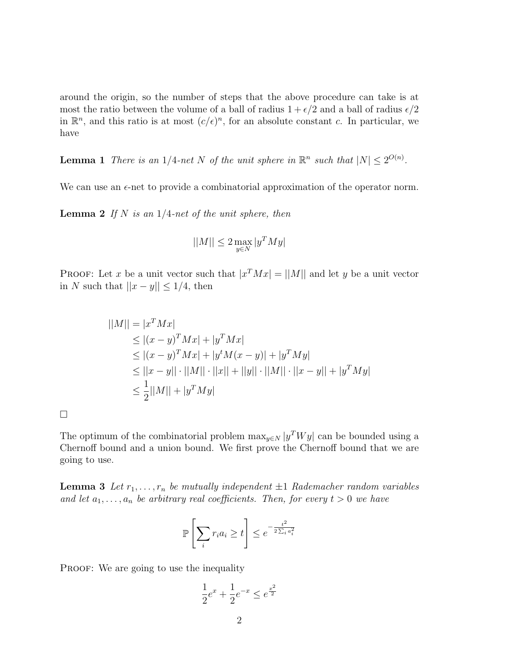around the origin, so the number of steps that the above procedure can take is at most the ratio between the volume of a ball of radius  $1 + \epsilon/2$  and a ball of radius  $\epsilon/2$ in  $\mathbb{R}^n$ , and this ratio is at most  $(c/\epsilon)^n$ , for an absolute constant c. In particular, we have

**Lemma 1** There is an 1/4-net N of the unit sphere in  $\mathbb{R}^n$  such that  $|N| \leq 2^{O(n)}$ .

We can use an  $\epsilon$ -net to provide a combinatorial approximation of the operator norm.

**Lemma 2** If N is an  $1/4$ -net of the unit sphere, then

$$
||M|| \leq 2 \max_{y \in N} |y^T M y|
$$

**PROOF:** Let x be a unit vector such that  $|x^T M x| = ||M||$  and let y be a unit vector in N such that  $||x - y|| \le 1/4$ , then

$$
||M|| = |x^T Mx|
$$
  
\n
$$
\leq |(x - y)^T Mx| + |y^T Mx|
$$
  
\n
$$
\leq |(x - y)^T Mx| + |y^t M(x - y)| + |y^T M y|
$$
  
\n
$$
\leq ||x - y|| \cdot ||M|| \cdot ||x|| + ||y|| \cdot ||M|| \cdot ||x - y|| + |y^T M y|
$$
  
\n
$$
\leq \frac{1}{2} ||M|| + |y^T M y|
$$

 $\Box$ 

The optimum of the combinatorial problem  $\max_{y \in N} |y^T W y|$  can be bounded using a Chernoff bound and a union bound. We first prove the Chernoff bound that we are going to use.

**Lemma 3** Let  $r_1, \ldots, r_n$  be mutually independent  $\pm 1$  Rademacher random variables and let  $a_1, \ldots, a_n$  be arbitrary real coefficients. Then, for every  $t > 0$  we have

$$
\mathbb{P}\left[\sum_{i} r_i a_i \ge t\right] \le e^{-\frac{t^2}{2\sum_i a_i^2}}
$$

PROOF: We are going to use the inequality

$$
\frac{1}{2}e^x + \frac{1}{2}e^{-x} \leq e^{\frac{x^2}{2}}
$$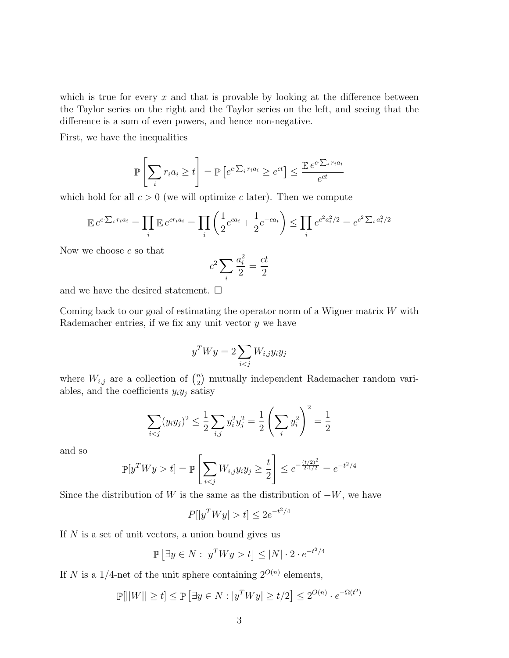which is true for every  $x$  and that is provable by looking at the difference between the Taylor series on the right and the Taylor series on the left, and seeing that the difference is a sum of even powers, and hence non-negative.

First, we have the inequalities

$$
\mathbb{P}\left[\sum_{i} r_i a_i \ge t\right] = \mathbb{P}\left[e^{c \cdot \sum_i r_i a_i} \ge e^{ct}\right] \le \frac{\mathbb{E}e^{c \cdot \sum_i r_i a_i}}{e^{ct}}
$$

which hold for all  $c > 0$  (we will optimize c later). Then we compute

$$
\mathbb{E} e^{c \cdot \sum_i r_i a_i} = \prod_i \mathbb{E} e^{c r_i a_i} = \prod_i \left( \frac{1}{2} e^{c a_i} + \frac{1}{2} e^{-c a_i} \right) \le \prod_i e^{c^2 a_i^2 / 2} = e^{c^2 \sum_i a_i^2 / 2}
$$

Now we choose  $c$  so that

$$
c^2 \sum_i \frac{a_i^2}{2} = \frac{ct}{2}
$$

and we have the desired statement.  $\square$ 

Coming back to our goal of estimating the operator norm of a Wigner matrix  $W$  with Rademacher entries, if we fix any unit vector  $y$  we have

$$
y^T W y = 2 \sum_{i < j} W_{i,j} y_i y_j
$$

where  $W_{i,j}$  are a collection of  $\binom{n}{2}$  $n_2$ ) mutually independent Rademacher random variables, and the coefficients  $y_i y_j$  satisy

$$
\sum_{i < j} (y_i y_j)^2 \le \frac{1}{2} \sum_{i,j} y_i^2 y_j^2 = \frac{1}{2} \left( \sum_i y_i^2 \right)^2 = \frac{1}{2}
$$

and so

$$
\mathbb{P}[y^T W y > t] = \mathbb{P}\left[\sum_{i < j} W_{i,j} y_i y_j \ge \frac{t}{2}\right] \le e^{-\frac{(t/2)^2}{2 \cdot 1/2}} = e^{-t^2/4}
$$

Since the distribution of W is the same as the distribution of  $-W$ , we have

$$
P[|y^T Wy| > t] \le 2e^{-t^2/4}
$$

If  $N$  is a set of unit vectors, a union bound gives us

$$
\mathbb{P}\left[\exists y \in N : y^T W y > t\right] \le |N| \cdot 2 \cdot e^{-t^2/4}
$$

If N is a 1/4-net of the unit sphere containing  $2^{O(n)}$  elements,

$$
\mathbb{P}[||W|| \ge t] \le \mathbb{P}\left[\exists y \in N : |y^T W y| \ge t/2\right] \le 2^{O(n)} \cdot e^{-\Omega(t^2)}
$$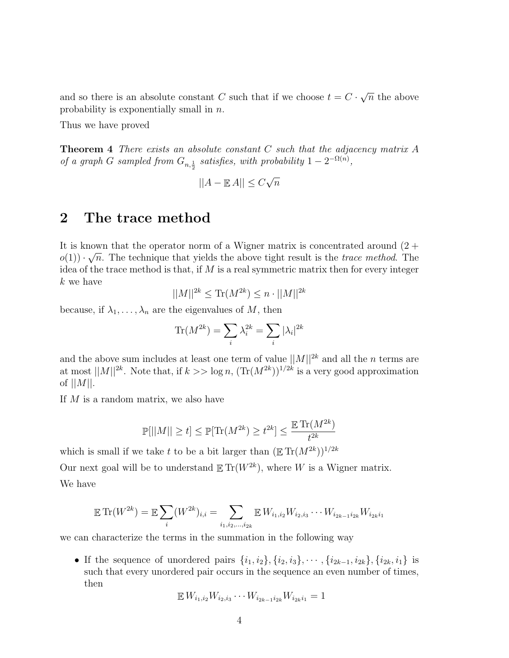and so there is an absolute constant C such that if we choose  $t = C$ . √  $\overline{n}$  the above probability is exponentially small in n.

Thus we have proved

**Theorem 4** There exists an absolute constant  $C$  such that the adjacency matrix  $A$ of a graph G sampled from  $G_{n,\frac{1}{2}}$  satisfies, with probability  $1-2^{-\Omega(n)}$ ,

$$
||A - \mathbb{E}A|| \le C\sqrt{n}
$$

## 2 The trace method

It is known that the operator norm of a Wigner matrix is concentrated around  $(2 + \sqrt{2})$  $o(1)$   $\cdot \sqrt{n}$ . The technique that yields the above tight result is the *trace method*. The idea of the trace method is that, if  $M$  is a real symmetric matrix then for every integer k we have

$$
||M||^{2k} \le \text{Tr}(M^{2k}) \le n \cdot ||M||^{2k}
$$

because, if  $\lambda_1, \ldots, \lambda_n$  are the eigenvalues of M, then

$$
\text{Tr}(M^{2k}) = \sum_{i} \lambda_i^{2k} = \sum_{i} |\lambda_i|^{2k}
$$

and the above sum includes at least one term of value  $||M||^{2k}$  and all the *n* terms are at most  $||M||^{2k}$ . Note that, if  $k >> \log n$ ,  $(\text{Tr}(M^{2k}))^{1/2k}$  is a very good approximation of  $||M||$ .

If M is a random matrix, we also have

$$
\mathbb{P}[||M|| \ge t] \le \mathbb{P}[\text{Tr}(M^{2k}) \ge t^{2k}] \le \frac{\mathbb{E} \text{Tr}(M^{2k})}{t^{2k}}
$$

which is small if we take t to be a bit larger than  $(\mathbb{E} \text{Tr}(M^{2k}))^{1/2k}$ 

Our next goal will be to understand  $\mathbb{E} \text{Tr}(W^{2k})$ , where W is a Wigner matrix. We have

$$
\mathbb{E} \operatorname{Tr}(W^{2k}) = \mathbb{E} \sum_{i} (W^{2k})_{i,i} = \sum_{i_1, i_2, \dots, i_{2k}} \mathbb{E} W_{i_1, i_2} W_{i_2, i_3} \cdots W_{i_{2k-1} i_{2k}} W_{i_{2k} i_1}
$$

we can characterize the terms in the summation in the following way

• If the sequence of unordered pairs  $\{i_1, i_2\}, \{i_2, i_3\}, \cdots, \{i_{2k-1}, i_{2k}\}, \{i_{2k}, i_1\}$  is such that every unordered pair occurs in the sequence an even number of times, then

$$
\mathbb{E} W_{i_1,i_2} W_{i_2,i_3} \cdots W_{i_{2k-1}i_{2k}} W_{i_{2k}i_1} = 1
$$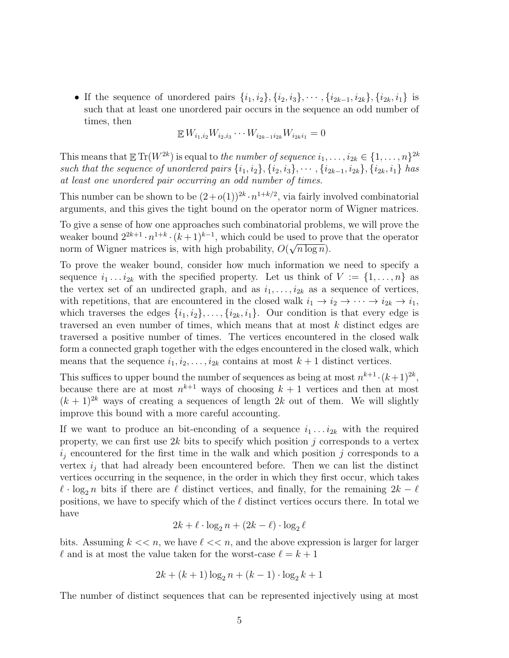• If the sequence of unordered pairs  $\{i_1, i_2\}, \{i_2, i_3\}, \cdots, \{i_{2k-1}, i_{2k}\}, \{i_{2k}, i_1\}$  is such that at least one unordered pair occurs in the sequence an odd number of times, then

$$
\mathbb{E} W_{i_1,i_2} W_{i_2,i_3} \cdots W_{i_{2k-1}i_{2k}} W_{i_{2k}i_1} = 0
$$

This means that  $\mathbb{E} \, \text{Tr}(W^{2k})$  is equal to *the number of sequence*  $i_1, \ldots, i_{2k} \in \{1, \ldots, n\}^{2k}$ such that the sequence of unordered pairs  $\{i_1, i_2\}, \{i_2, i_3\}, \cdots, \{i_{2k-1}, i_{2k}\}, \{i_{2k}, i_1\}$  has at least one unordered pair occurring an odd number of times.

This number can be shown to be  $(2+o(1))^{2k} \cdot n^{1+k/2}$ , via fairly involved combinatorial arguments, and this gives the tight bound on the operator norm of Wigner matrices.

To give a sense of how one approaches such combinatorial problems, we will prove the weaker bound  $2^{2k+1} \cdot n^{1+k} \cdot (k+1)^{k-1}$ , which could be used to prove that the operator norm of Wigner matrices is, with high probability,  $O(\sqrt{n \log n})$ .

To prove the weaker bound, consider how much information we need to specify a sequence  $i_1 \ldots i_{2k}$  with the specified property. Let us think of  $V := \{1, \ldots, n\}$  as the vertex set of an undirected graph, and as  $i_1, \ldots, i_{2k}$  as a sequence of vertices, with repetitions, that are encountered in the closed walk  $i_1 \rightarrow i_2 \rightarrow \cdots \rightarrow i_{2k} \rightarrow i_1$ , which traverses the edges  $\{i_1, i_2\}, \ldots, \{i_{2k}, i_1\}$ . Our condition is that every edge is traversed an even number of times, which means that at most k distinct edges are traversed a positive number of times. The vertices encountered in the closed walk form a connected graph together with the edges encountered in the closed walk, which means that the sequence  $i_1, i_2, \ldots, i_{2k}$  contains at most  $k + 1$  distinct vertices.

This suffices to upper bound the number of sequences as being at most  $n^{k+1} \cdot (k+1)^{2k}$ , because there are at most  $n^{k+1}$  ways of choosing  $k+1$  vertices and then at most  $(k + 1)^{2k}$  ways of creating a sequences of length 2k out of them. We will slightly improve this bound with a more careful accounting.

If we want to produce an bit-enconding of a sequence  $i_1 \ldots i_{2k}$  with the required property, we can first use  $2k$  bits to specify which position j corresponds to a vertex  $i_j$  encountered for the first time in the walk and which position j corresponds to a vertex  $i_j$  that had already been encountered before. Then we can list the distinct vertices occurring in the sequence, in the order in which they first occur, which takes  $\ell \cdot \log_2 n$  bits if there are  $\ell$  distinct vertices, and finally, for the remaining  $2k - \ell$ positions, we have to specify which of the  $\ell$  distinct vertices occurs there. In total we have

$$
2k + \ell \cdot \log_2 n + (2k - \ell) \cdot \log_2 \ell
$$

bits. Assuming  $k \ll n$ , we have  $\ell \ll n$ , and the above expression is larger for larger  $\ell$  and is at most the value taken for the worst-case  $\ell = k + 1$ 

$$
2k + (k+1)\log_2 n + (k-1) \cdot \log_2 k + 1
$$

The number of distinct sequences that can be represented injectively using at most